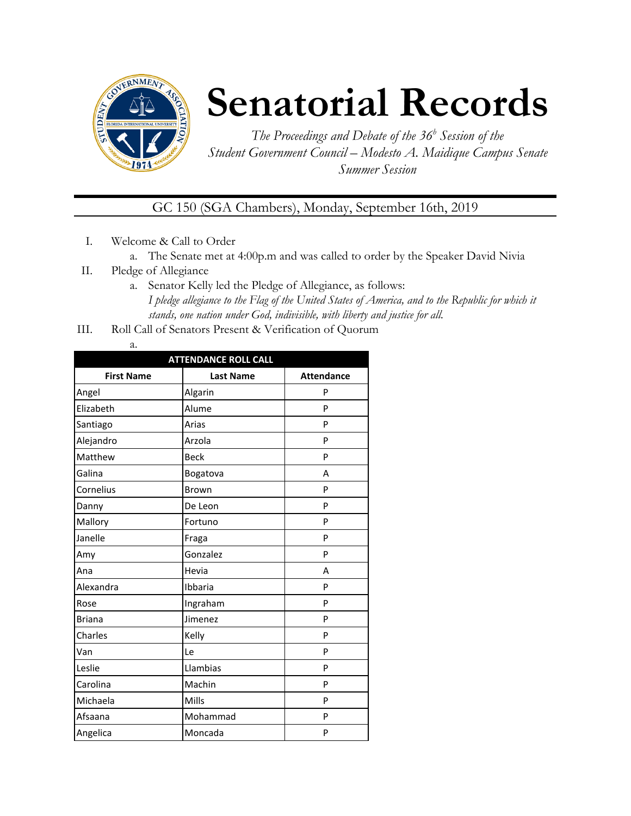

# **Senatorial Records**

*The Proceedings and Debate of the 36 <sup>h</sup> Session of the Student Government Council – Modesto A. Maidique Campus Senate Summer Session*

GC 150 (SGA Chambers), Monday, September 16th, 2019

- I. Welcome & Call to Order
	- a. The Senate met at 4:00p.m and was called to order by the Speaker David Nivia
- II. Pledge of Allegiance
	- a. Senator Kelly led the Pledge of Allegiance, as follows: *I pledge allegiance to the Flag of the United States of America, and to the Republic for which it stands, one nation under God, indivisible, with liberty and justice for all.*
- III. Roll Call of Senators Present & Verification of Quorum
	- a.

| <b>ATTENDANCE ROLL CALL</b> |                  |                   |  |  |  |
|-----------------------------|------------------|-------------------|--|--|--|
| <b>First Name</b>           | <b>Last Name</b> | <b>Attendance</b> |  |  |  |
| Angel                       | Algarin          | P                 |  |  |  |
| Elizabeth                   | Alume            | P                 |  |  |  |
| Santiago                    | Arias            | P                 |  |  |  |
| Alejandro                   | Arzola           | P                 |  |  |  |
| Matthew                     | <b>Beck</b>      | P                 |  |  |  |
| Galina                      | Bogatova         | A                 |  |  |  |
| Cornelius                   | Brown            | P                 |  |  |  |
| Danny                       | De Leon          | P                 |  |  |  |
| Mallory                     | Fortuno          | P                 |  |  |  |
| Janelle                     | Fraga            | P                 |  |  |  |
| Amy                         | Gonzalez         | P                 |  |  |  |
| Ana                         | Hevia            | А                 |  |  |  |
| Alexandra                   | Ibbaria          | P                 |  |  |  |
| Rose                        | Ingraham         | P                 |  |  |  |
| <b>Briana</b>               | Jimenez          | P                 |  |  |  |
| Charles                     | Kelly            | P                 |  |  |  |
| Van                         | Le               | P                 |  |  |  |
| Leslie                      | Llambias         | P                 |  |  |  |
| Carolina                    | Machin           | P                 |  |  |  |
| Michaela                    | Mills            | P                 |  |  |  |
| Afsaana                     | Mohammad         | P                 |  |  |  |
| Angelica                    | Moncada          | P                 |  |  |  |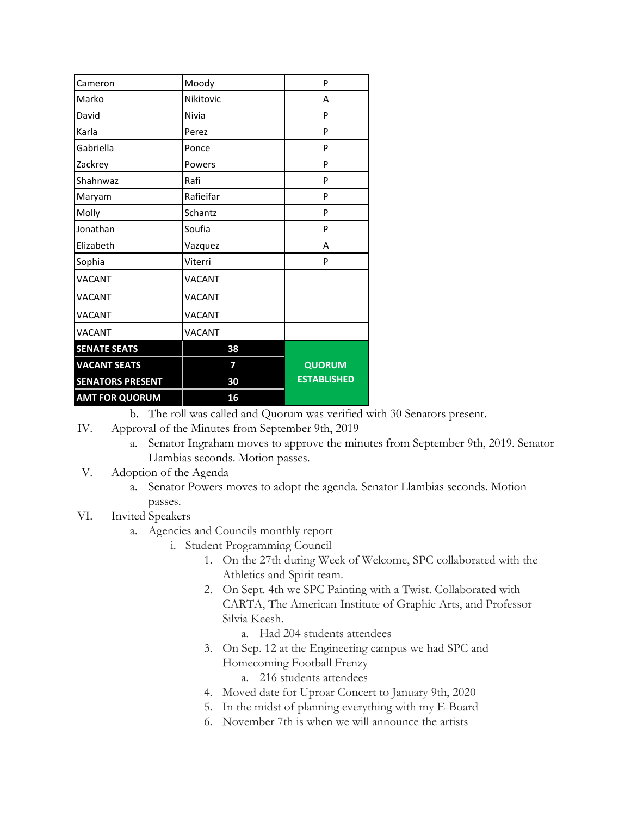| Cameron                 | Moody         | P                  |
|-------------------------|---------------|--------------------|
| Marko                   | Nikitovic     | A                  |
| David                   | Nivia         | P                  |
| Karla                   | Perez         | P                  |
| Gabriella               | Ponce         | P                  |
| Zackrey                 | Powers        | P                  |
| Shahnwaz                | Rafi          | P                  |
| Maryam                  | Rafieifar     | P                  |
| Molly                   | Schantz       | P                  |
| Jonathan                | Soufia        | P                  |
| Elizabeth               | Vazquez       | А                  |
| Sophia                  | Viterri       | P                  |
| <b>VACANT</b>           | <b>VACANT</b> |                    |
| <b>VACANT</b>           | <b>VACANT</b> |                    |
| VACANT                  | <b>VACANT</b> |                    |
| VACANT                  | <b>VACANT</b> |                    |
| <b>SENATE SEATS</b>     | 38            |                    |
| <b>VACANT SEATS</b>     | 7             | <b>QUORUM</b>      |
| <b>SENATORS PRESENT</b> | 30            | <b>ESTABLISHED</b> |
| <b>AMT FOR QUORUM</b>   | 16            |                    |

b. The roll was called and Quorum was verified with 30 Senators present.

- IV. Approval of the Minutes from September 9th, 2019
	- a. Senator Ingraham moves to approve the minutes from September 9th, 2019. Senator Llambias seconds. Motion passes.
- V. Adoption of the Agenda
	- a. Senator Powers moves to adopt the agenda. Senator Llambias seconds. Motion passes.
- VI. Invited Speakers
	- a. Agencies and Councils monthly report
		- i. Student Programming Council
			- 1. On the 27th during Week of Welcome, SPC collaborated with the Athletics and Spirit team.
			- 2. On Sept. 4th we SPC Painting with a Twist. Collaborated with CARTA, The American Institute of Graphic Arts, and Professor Silvia Keesh.
				- a. Had 204 students attendees
			- 3. On Sep. 12 at the Engineering campus we had SPC and Homecoming Football Frenzy

a. 216 students attendees

- 4. Moved date for Uproar Concert to January 9th, 2020
- 5. In the midst of planning everything with my E-Board
- 6. November 7th is when we will announce the artists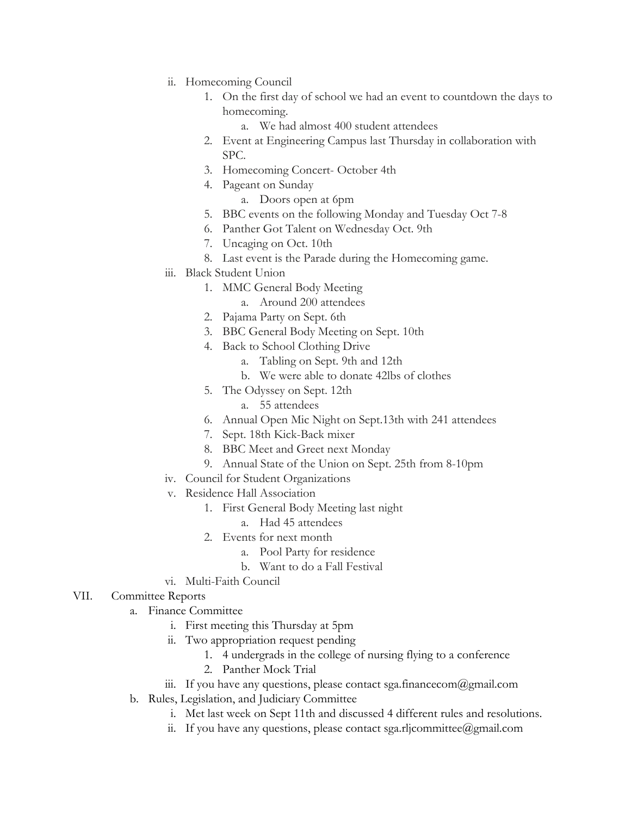- ii. Homecoming Council
	- 1. On the first day of school we had an event to countdown the days to homecoming.
		- a. We had almost 400 student attendees
	- 2. Event at Engineering Campus last Thursday in collaboration with SPC.
	- 3. Homecoming Concert- October 4th
	- 4. Pageant on Sunday
		- a. Doors open at 6pm
	- 5. BBC events on the following Monday and Tuesday Oct 7-8
	- 6. Panther Got Talent on Wednesday Oct. 9th
	- 7. Uncaging on Oct. 10th
	- 8. Last event is the Parade during the Homecoming game.
- iii. Black Student Union
	- 1. MMC General Body Meeting
		- a. Around 200 attendees
	- 2. Pajama Party on Sept. 6th
	- 3. BBC General Body Meeting on Sept. 10th
	- 4. Back to School Clothing Drive
		- a. Tabling on Sept. 9th and 12th
		- b. We were able to donate 42lbs of clothes
	- 5. The Odyssey on Sept. 12th
		- a. 55 attendees
	- 6. Annual Open Mic Night on Sept.13th with 241 attendees
	- 7. Sept. 18th Kick-Back mixer
	- 8. BBC Meet and Greet next Monday
	- 9. Annual State of the Union on Sept. 25th from 8-10pm
- iv. Council for Student Organizations
- v. Residence Hall Association
	- 1. First General Body Meeting last night
		- a. Had 45 attendees
	- 2. Events for next month
		- a. Pool Party for residence
		- b. Want to do a Fall Festival
- vi. Multi-Faith Council

#### VII. Committee Reports

- a. Finance Committee
	- i. First meeting this Thursday at 5pm
	- ii. Two appropriation request pending
		- 1. 4 undergrads in the college of nursing flying to a conference
		- 2. Panther Mock Trial
	- iii. If you have any questions, please contact sga.financecom@gmail.com
- b. Rules, Legislation, and Judiciary Committee
	- i. Met last week on Sept 11th and discussed 4 different rules and resolutions.
	- ii. If you have any questions, please contact sga.rljcommittee@gmail.com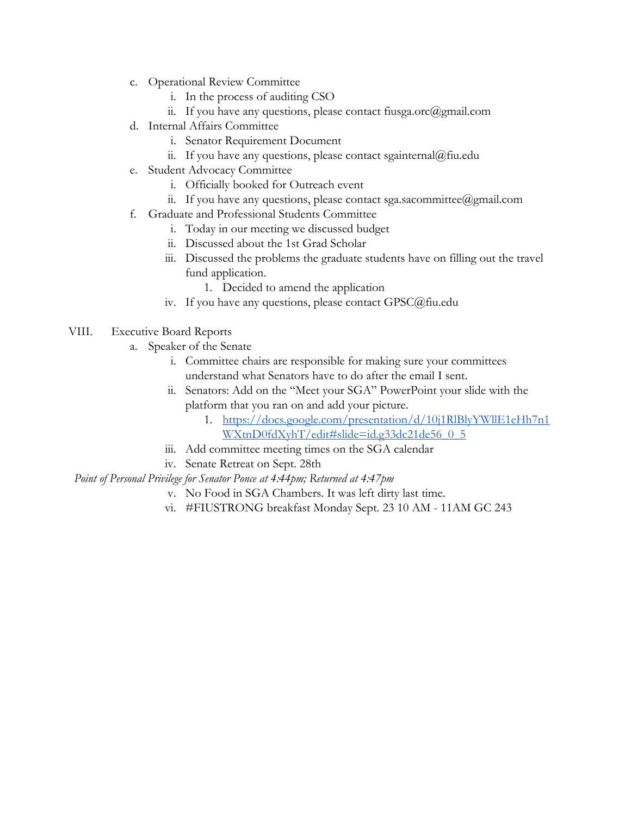- c. Operational Review Committee
	- i. In the process of auditing CSO
	- ii. If you have any questions, please contact fiusga.orc $(\partial g$ mail.com
- d. Internal Affairs Committee
	- i. Senator Requirement Document
	- ii. If you have any questions, please contact sgainternal@fiu.edu
- e. Student Advocacy Committee
	- i. Officially booked for Outreach event
	- ii. If you have any questions, please contact sga.sacommittee@gmail.com
- f. Graduate and Professional Students Committee
	- i. Today in our meeting we discussed budget
	- ii. Discussed about the 1st Grad Scholar
	- iii. Discussed the problems the graduate students have on filling out the travel fund application.
		- 1. Decided to amend the application
	- iv. If you have any questions, please contact GPSC@fiu.edu

#### VIII. Executive Board Reports

- a. Speaker of the Senate
	- i. Committee chairs are responsible for making sure your committees understand what Senators have to do after the email I sent.
	- ii. Senators: Add on the "Meet your SGA" PowerPoint your slide with the platform that you ran on and add your picture.
		- 1. [https://docs.google.com/presentation/d/10j1RlBlyYWllE1eHh7n1](https://docs.google.com/presentation/d/10j1RlBlyYWllE1eHh7n1WXtnD0fdXyhT/edit#slide=id.g33dc21de56_0_5) [WXtnD0fdXyhT/edit#slide=id.g33dc21de56\\_0\\_5](https://docs.google.com/presentation/d/10j1RlBlyYWllE1eHh7n1WXtnD0fdXyhT/edit#slide=id.g33dc21de56_0_5)
	- iii. Add committee meeting times on the SGA calendar
	- iv. Senate Retreat on Sept. 28th

#### *Point of Personal Privilege for Senator Ponce at 4:44pm; Returned at 4:47pm*

- v. No Food in SGA Chambers. It was left dirty last time.
- vi. #FIUSTRONG breakfast Monday Sept. 23 10 AM 11AM GC 243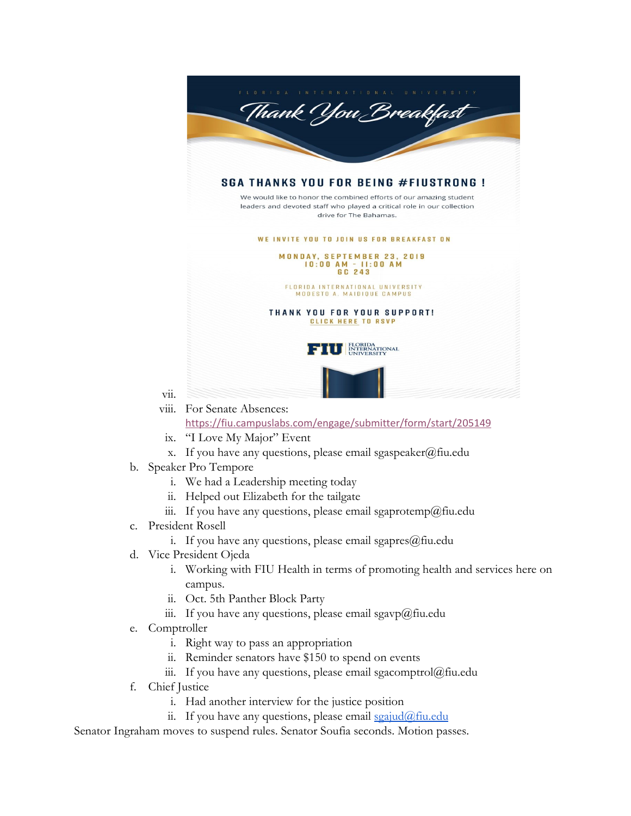

- <https://fiu.campuslabs.com/engage/submitter/form/start/205149>
- ix. "I Love My Major" Event
- x. If you have any questions, please email sgaspeaker@fiu.edu
- b. Speaker Pro Tempore
	- i. We had a Leadership meeting today
	- ii. Helped out Elizabeth for the tailgate
	- iii. If you have any questions, please email sgaprotemp@fiu.edu
- c. President Rosell

vii.

- i. If you have any questions, please email sgapres $@$ fiu.edu
- d. Vice President Ojeda
	- i. Working with FIU Health in terms of promoting health and services here on campus.
	- ii. Oct. 5th Panther Block Party
	- iii. If you have any questions, please email sgavp@fiu.edu
- e. Comptroller
	- i. Right way to pass an appropriation
	- ii. Reminder senators have \$150 to spend on events
	- iii. If you have any questions, please email sgacomptrol@fiu.edu
- f. Chief Justice
	- i. Had another interview for the justice position
	- ii. If you have any questions, please email  $\frac{\sigma}{\sigma}$  in  $\frac{\sigma}{\sigma}$

Senator Ingraham moves to suspend rules. Senator Soufia seconds. Motion passes.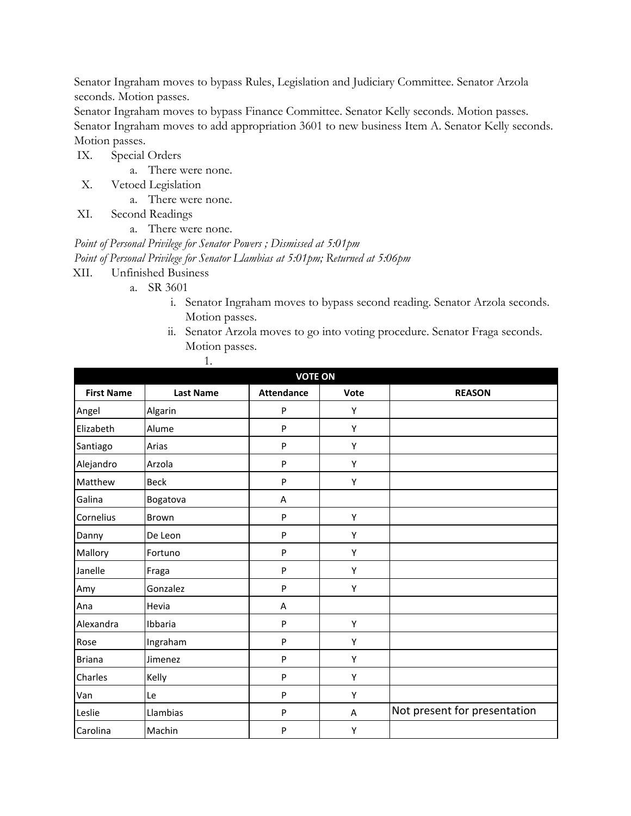Senator Ingraham moves to bypass Rules, Legislation and Judiciary Committee. Senator Arzola seconds. Motion passes.

Senator Ingraham moves to bypass Finance Committee. Senator Kelly seconds. Motion passes. Senator Ingraham moves to add appropriation 3601 to new business Item A. Senator Kelly seconds. Motion passes.

IX. Special Orders

- a. There were none.
- X. Vetoed Legislation
	- a. There were none.
- XI. Second Readings
	- a. There were none.

*Point of Personal Privilege for Senator Powers ; Dismissed at 5:01pm Point of Personal Privilege for Senator Llambias at 5:01pm; Returned at 5:06pm*

- XII. Unfinished Business
	- a. SR 3601
		- i. Senator Ingraham moves to bypass second reading. Senator Arzola seconds. Motion passes.
		- ii. Senator Arzola moves to go into voting procedure. Senator Fraga seconds. Motion passes.

| <b>VOTE ON</b>    |                  |                   |      |                              |  |
|-------------------|------------------|-------------------|------|------------------------------|--|
| <b>First Name</b> | <b>Last Name</b> | <b>Attendance</b> | Vote | <b>REASON</b>                |  |
| Angel             | Algarin          | P                 | Y    |                              |  |
| Elizabeth         | Alume            | P                 | Υ    |                              |  |
| Santiago          | Arias            | P                 | Υ    |                              |  |
| Alejandro         | Arzola           | P                 | Υ    |                              |  |
| Matthew           | <b>Beck</b>      | P                 | Υ    |                              |  |
| Galina            | Bogatova         | Α                 |      |                              |  |
| Cornelius         | <b>Brown</b>     | P                 | Υ    |                              |  |
| Danny             | De Leon          | P                 | Y    |                              |  |
| Mallory           | Fortuno          | P                 | Υ    |                              |  |
| Janelle           | Fraga            | P                 | Υ    |                              |  |
| Amy               | Gonzalez         | P                 | Υ    |                              |  |
| Ana               | Hevia            | Α                 |      |                              |  |
| Alexandra         | Ibbaria          | P                 | Υ    |                              |  |
| Rose              | Ingraham         | P                 | Υ    |                              |  |
| <b>Briana</b>     | Jimenez          | P                 | Υ    |                              |  |
| Charles           | Kelly            | P                 | Υ    |                              |  |
| Van               | Le               | P                 | Υ    |                              |  |
| Leslie            | Llambias         | P                 | A    | Not present for presentation |  |
| Carolina          | Machin           | P                 | Υ    |                              |  |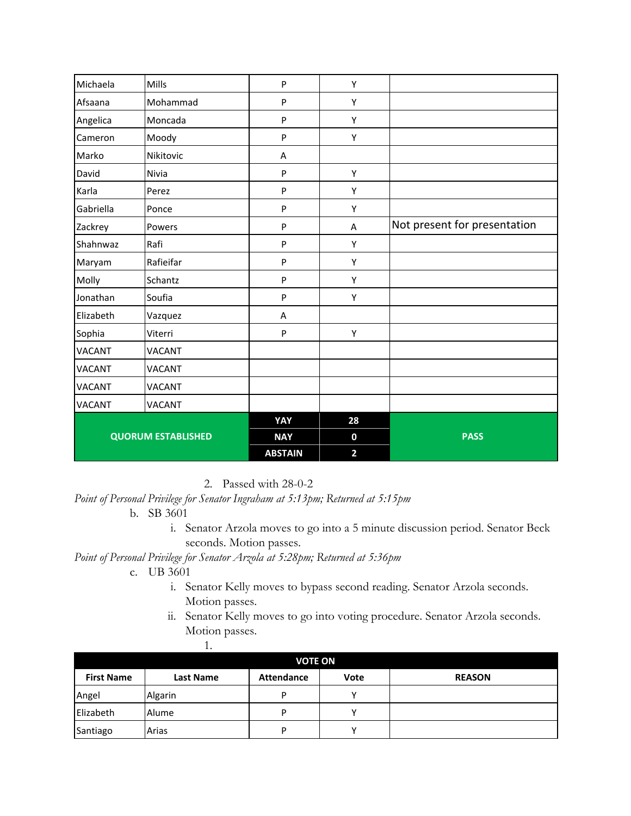| Michaela                  | <b>Mills</b>  | P              | Υ              |                              |
|---------------------------|---------------|----------------|----------------|------------------------------|
| Afsaana                   | Mohammad      | P              | Υ              |                              |
| Angelica                  | Moncada       | P              | Υ              |                              |
| Cameron                   | Moody         | P              | Υ              |                              |
| Marko                     | Nikitovic     | A              |                |                              |
| David                     | Nivia         | P              | Υ              |                              |
| Karla                     | Perez         | P              | Υ              |                              |
| Gabriella                 | Ponce         | P              | Υ              |                              |
| Zackrey                   | Powers        | P              | A              | Not present for presentation |
| Shahnwaz                  | Rafi          | P              | Υ              |                              |
| Maryam                    | Rafieifar     | P              | Υ              |                              |
| Molly                     | Schantz       | P              | Υ              |                              |
| Jonathan                  | Soufia        | P              | Υ              |                              |
| Elizabeth                 | Vazquez       | A              |                |                              |
| Sophia                    | Viterri       | P              | Υ              |                              |
| <b>VACANT</b>             | <b>VACANT</b> |                |                |                              |
| <b>VACANT</b>             | <b>VACANT</b> |                |                |                              |
| <b>VACANT</b>             | <b>VACANT</b> |                |                |                              |
| <b>VACANT</b>             | <b>VACANT</b> |                |                |                              |
|                           |               | YAY            | 28             |                              |
| <b>QUORUM ESTABLISHED</b> |               | <b>NAY</b>     | $\mathbf 0$    | <b>PASS</b>                  |
|                           |               | <b>ABSTAIN</b> | $\overline{2}$ |                              |

2. Passed with 28-0-2

*Point of Personal Privilege for Senator Ingraham at 5:13pm; Returned at 5:15pm*

- b. SB 3601
	- i. Senator Arzola moves to go into a 5 minute discussion period. Senator Beck seconds. Motion passes.

## *Point of Personal Privilege for Senator Arzola at 5:28pm; Returned at 5:36pm*

- c. UB 3601
	- i. Senator Kelly moves to bypass second reading. Senator Arzola seconds. Motion passes.
	- ii. Senator Kelly moves to go into voting procedure. Senator Arzola seconds. Motion passes.

|                   | . .              |                   |             |               |  |
|-------------------|------------------|-------------------|-------------|---------------|--|
|                   | <b>VOTE ON</b>   |                   |             |               |  |
| <b>First Name</b> | <b>Last Name</b> | <b>Attendance</b> | Vote        | <b>REASON</b> |  |
| Angel             | Algarin          | P                 | $\mathbf v$ |               |  |
| Elizabeth         | Alume            | P                 | v           |               |  |
| Santiago          | Arias            | P                 | v           |               |  |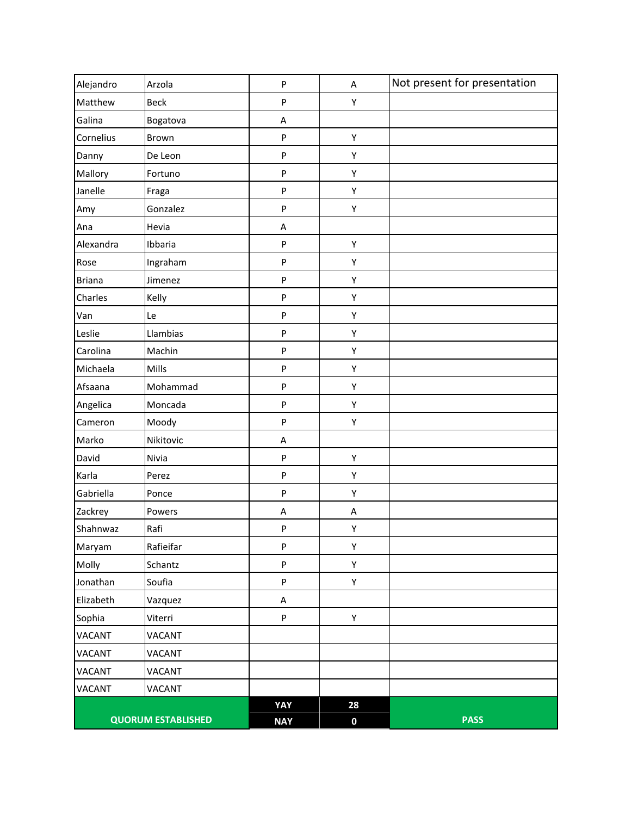| Alejandro     | Arzola                    | P          | A         | Not present for presentation |
|---------------|---------------------------|------------|-----------|------------------------------|
| Matthew       | <b>Beck</b>               | P          | Υ         |                              |
| Galina        | Bogatova                  | A          |           |                              |
| Cornelius     | Brown                     | P          | Υ         |                              |
| Danny         | De Leon                   | P          | Υ         |                              |
| Mallory       | Fortuno                   | P          | Υ         |                              |
| Janelle       | Fraga                     | P          | Υ         |                              |
| Amy           | Gonzalez                  | P          | Υ         |                              |
| Ana           | Hevia                     | A          |           |                              |
| Alexandra     | Ibbaria                   | P          | Υ         |                              |
| Rose          | Ingraham                  | P          | Υ         |                              |
| <b>Briana</b> | Jimenez                   | P          | Υ         |                              |
| Charles       | Kelly                     | P          | Υ         |                              |
| Van           | Le                        | P          | Υ         |                              |
| Leslie        | Llambias                  | P          | Υ         |                              |
| Carolina      | Machin                    | P          | Υ         |                              |
| Michaela      | Mills                     | P          | Υ         |                              |
| Afsaana       | Mohammad                  | P          | Υ         |                              |
| Angelica      | Moncada                   | P          | Υ         |                              |
| Cameron       | Moody                     | P          | Υ         |                              |
| Marko         | Nikitovic                 | A          |           |                              |
| David         | Nivia                     | P          | Υ         |                              |
| Karla         | Perez                     | P          | Υ         |                              |
| Gabriella     | Ponce                     | P          | Υ         |                              |
| Zackrey       | Powers                    | Α          | A         |                              |
| Shahnwaz      | Rafi                      | P          | Υ         |                              |
| Maryam        | Rafieifar                 | P          | Υ         |                              |
| Molly         | Schantz                   | P          | Υ         |                              |
| Jonathan      | Soufia                    | P          | Υ         |                              |
| Elizabeth     | Vazquez                   | A          |           |                              |
| Sophia        | Viterri                   | P          | Υ         |                              |
| <b>VACANT</b> | <b>VACANT</b>             |            |           |                              |
| <b>VACANT</b> | <b>VACANT</b>             |            |           |                              |
| <b>VACANT</b> | VACANT                    |            |           |                              |
| <b>VACANT</b> | VACANT                    |            |           |                              |
|               |                           | YAY        | 28        |                              |
|               | <b>QUORUM ESTABLISHED</b> | <b>NAY</b> | $\pmb{0}$ | <b>PASS</b>                  |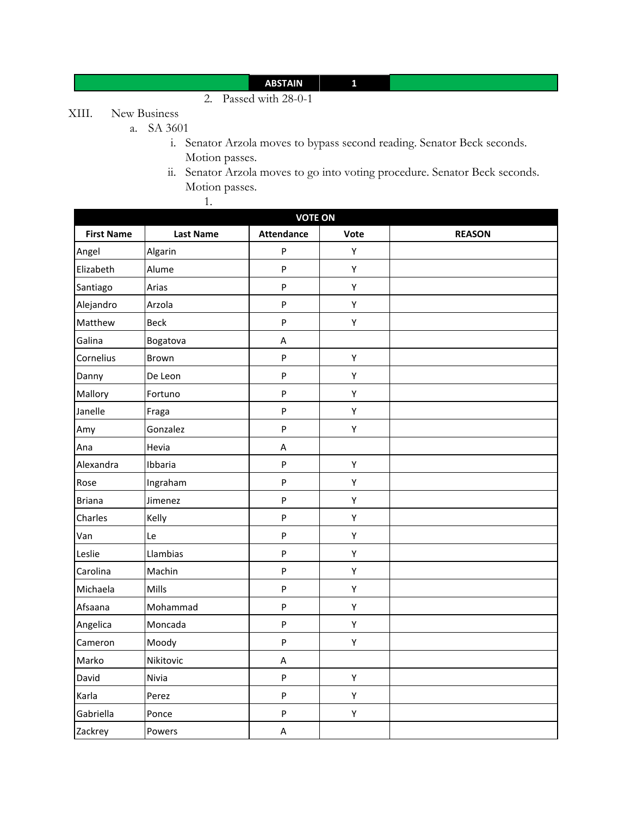## **ABSTAIN 1**

2. Passed with 28-0-1

# XIII. New Business

- a. SA 3601
	- i. Senator Arzola moves to bypass second reading. Senator Beck seconds. Motion passes.
	- ii. Senator Arzola moves to go into voting procedure. Senator Beck seconds. Motion passes. 1.

| <b>VOTE ON</b>    |                  |                   |      |               |  |
|-------------------|------------------|-------------------|------|---------------|--|
| <b>First Name</b> | <b>Last Name</b> | <b>Attendance</b> | Vote | <b>REASON</b> |  |
| Angel             | Algarin          | ${\sf P}$         | Υ    |               |  |
| Elizabeth         | Alume            | $\mathsf{P}$      | Υ    |               |  |
| Santiago          | Arias            | $\mathsf{P}$      | Υ    |               |  |
| Alejandro         | Arzola           | $\mathsf{P}$      | Υ    |               |  |
| Matthew           | <b>Beck</b>      | $\sf P$           | Υ    |               |  |
| Galina            | Bogatova         | Α                 |      |               |  |
| Cornelius         | Brown            | $\mathsf{P}$      | Υ    |               |  |
| Danny             | De Leon          | $\sf P$           | Υ    |               |  |
| Mallory           | Fortuno          | $\sf P$           | Υ    |               |  |
| Janelle           | Fraga            | $\sf P$           | Υ    |               |  |
| Amy               | Gonzalez         | $\sf P$           | Υ    |               |  |
| Ana               | Hevia            | A                 |      |               |  |
| Alexandra         | Ibbaria          | $\sf P$           | Υ    |               |  |
| Rose              | Ingraham         | ${\sf P}$         | Υ    |               |  |
| <b>Briana</b>     | Jimenez          | ${\sf P}$         | Υ    |               |  |
| Charles           | Kelly            | ${\sf P}$         | Υ    |               |  |
| Van               | Le               | $\mathsf{P}$      | Υ    |               |  |
| Leslie            | Llambias         | $\sf P$           | Υ    |               |  |
| Carolina          | Machin           | $\sf P$           | Υ    |               |  |
| Michaela          | Mills            | $\mathsf{P}$      | Υ    |               |  |
| Afsaana           | Mohammad         | $\mathsf{P}$      | Υ    |               |  |
| Angelica          | Moncada          | $\sf P$           | Υ    |               |  |
| Cameron           | Moody            | P                 | Υ    |               |  |
| Marko             | Nikitovic        | А                 |      |               |  |
| David             | Nivia            | $\sf P$           | Υ    |               |  |
| Karla             | Perez            | $\sf P$           | Υ    |               |  |
| Gabriella         | Ponce            | P                 | Υ    |               |  |
| Zackrey           | Powers           | A                 |      |               |  |